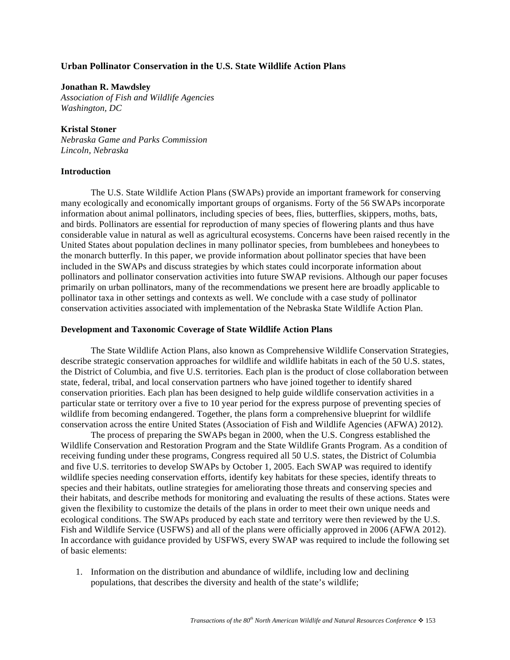# **Urban Pollinator Conservation in the U.S. State Wildlife Action Plans**

#### **Jonathan R. Mawdsley**

*Association of Fish and Wildlife Agencies Washington, DC* 

### **Kristal Stoner**

*Nebraska Game and Parks Commission Lincoln, Nebraska* 

#### **Introduction**

The U.S. State Wildlife Action Plans (SWAPs) provide an important framework for conserving many ecologically and economically important groups of organisms. Forty of the 56 SWAPs incorporate information about animal pollinators, including species of bees, flies, butterflies, skippers, moths, bats, and birds. Pollinators are essential for reproduction of many species of flowering plants and thus have considerable value in natural as well as agricultural ecosystems. Concerns have been raised recently in the United States about population declines in many pollinator species, from bumblebees and honeybees to the monarch butterfly. In this paper, we provide information about pollinator species that have been included in the SWAPs and discuss strategies by which states could incorporate information about pollinators and pollinator conservation activities into future SWAP revisions. Although our paper focuses primarily on urban pollinators, many of the recommendations we present here are broadly applicable to pollinator taxa in other settings and contexts as well. We conclude with a case study of pollinator conservation activities associated with implementation of the Nebraska State Wildlife Action Plan.

# **Development and Taxonomic Coverage of State Wildlife Action Plans**

The State Wildlife Action Plans, also known as Comprehensive Wildlife Conservation Strategies, describe strategic conservation approaches for wildlife and wildlife habitats in each of the 50 U.S. states, the District of Columbia, and five U.S. territories. Each plan is the product of close collaboration between state, federal, tribal, and local conservation partners who have joined together to identify shared conservation priorities. Each plan has been designed to help guide wildlife conservation activities in a particular state or territory over a five to 10 year period for the express purpose of preventing species of wildlife from becoming endangered. Together, the plans form a comprehensive blueprint for wildlife conservation across the entire United States (Association of Fish and Wildlife Agencies (AFWA) 2012).

The process of preparing the SWAPs began in 2000, when the U.S. Congress established the Wildlife Conservation and Restoration Program and the State Wildlife Grants Program. As a condition of receiving funding under these programs, Congress required all 50 U.S. states, the District of Columbia and five U.S. territories to develop SWAPs by October 1, 2005. Each SWAP was required to identify wildlife species needing conservation efforts, identify key habitats for these species, identify threats to species and their habitats, outline strategies for ameliorating those threats and conserving species and their habitats, and describe methods for monitoring and evaluating the results of these actions. States were given the flexibility to customize the details of the plans in order to meet their own unique needs and ecological conditions. The SWAPs produced by each state and territory were then reviewed by the U.S. Fish and Wildlife Service (USFWS) and all of the plans were officially approved in 2006 (AFWA 2012). In accordance with guidance provided by USFWS, every SWAP was required to include the following set of basic elements:

1. Information on the distribution and abundance of wildlife, including low and declining populations, that describes the diversity and health of the state's wildlife;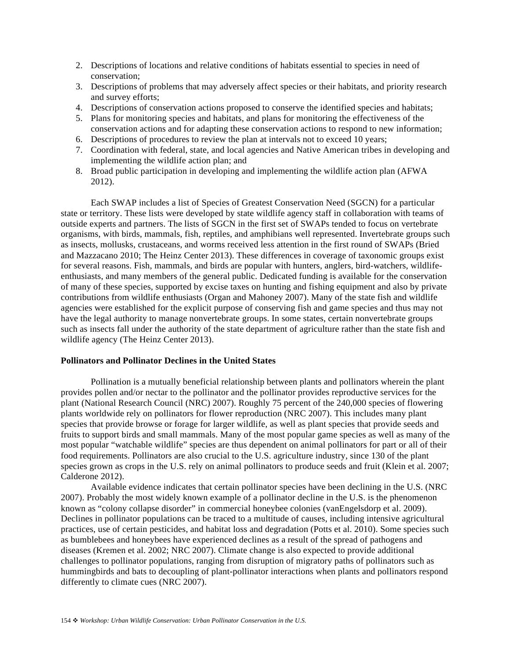- 2. Descriptions of locations and relative conditions of habitats essential to species in need of conservation;
- 3. Descriptions of problems that may adversely affect species or their habitats, and priority research and survey efforts;
- 4. Descriptions of conservation actions proposed to conserve the identified species and habitats;
- 5. Plans for monitoring species and habitats, and plans for monitoring the effectiveness of the conservation actions and for adapting these conservation actions to respond to new information;
- 6. Descriptions of procedures to review the plan at intervals not to exceed 10 years;
- 7. Coordination with federal, state, and local agencies and Native American tribes in developing and implementing the wildlife action plan; and
- 8. Broad public participation in developing and implementing the wildlife action plan (AFWA 2012).

Each SWAP includes a list of Species of Greatest Conservation Need (SGCN) for a particular state or territory. These lists were developed by state wildlife agency staff in collaboration with teams of outside experts and partners. The lists of SGCN in the first set of SWAPs tended to focus on vertebrate organisms, with birds, mammals, fish, reptiles, and amphibians well represented. Invertebrate groups such as insects, mollusks, crustaceans, and worms received less attention in the first round of SWAPs (Bried and Mazzacano 2010; The Heinz Center 2013). These differences in coverage of taxonomic groups exist for several reasons. Fish, mammals, and birds are popular with hunters, anglers, bird-watchers, wildlifeenthusiasts, and many members of the general public. Dedicated funding is available for the conservation of many of these species, supported by excise taxes on hunting and fishing equipment and also by private contributions from wildlife enthusiasts (Organ and Mahoney 2007). Many of the state fish and wildlife agencies were established for the explicit purpose of conserving fish and game species and thus may not have the legal authority to manage nonvertebrate groups. In some states, certain nonvertebrate groups such as insects fall under the authority of the state department of agriculture rather than the state fish and wildlife agency (The Heinz Center 2013).

#### **Pollinators and Pollinator Declines in the United States**

Pollination is a mutually beneficial relationship between plants and pollinators wherein the plant provides pollen and/or nectar to the pollinator and the pollinator provides reproductive services for the plant (National Research Council (NRC) 2007). Roughly 75 percent of the 240,000 species of flowering plants worldwide rely on pollinators for flower reproduction (NRC 2007). This includes many plant species that provide browse or forage for larger wildlife, as well as plant species that provide seeds and fruits to support birds and small mammals. Many of the most popular game species as well as many of the most popular "watchable wildlife" species are thus dependent on animal pollinators for part or all of their food requirements. Pollinators are also crucial to the U.S. agriculture industry, since 130 of the plant species grown as crops in the U.S. rely on animal pollinators to produce seeds and fruit (Klein et al. 2007; Calderone 2012).

Available evidence indicates that certain pollinator species have been declining in the U.S. (NRC 2007). Probably the most widely known example of a pollinator decline in the U.S. is the phenomenon known as "colony collapse disorder" in commercial honeybee colonies (vanEngelsdorp et al. 2009). Declines in pollinator populations can be traced to a multitude of causes, including intensive agricultural practices, use of certain pesticides, and habitat loss and degradation (Potts et al. 2010). Some species such as bumblebees and honeybees have experienced declines as a result of the spread of pathogens and diseases (Kremen et al. 2002; NRC 2007). Climate change is also expected to provide additional challenges to pollinator populations, ranging from disruption of migratory paths of pollinators such as hummingbirds and bats to decoupling of plant-pollinator interactions when plants and pollinators respond differently to climate cues (NRC 2007).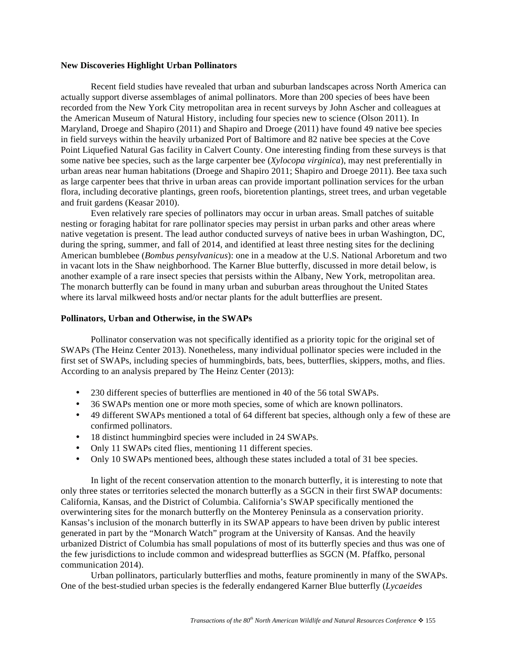#### **New Discoveries Highlight Urban Pollinators**

Recent field studies have revealed that urban and suburban landscapes across North America can actually support diverse assemblages of animal pollinators. More than 200 species of bees have been recorded from the New York City metropolitan area in recent surveys by John Ascher and colleagues at the American Museum of Natural History, including four species new to science (Olson 2011). In Maryland, Droege and Shapiro (2011) and Shapiro and Droege (2011) have found 49 native bee species in field surveys within the heavily urbanized Port of Baltimore and 82 native bee species at the Cove Point Liquefied Natural Gas facility in Calvert County. One interesting finding from these surveys is that some native bee species, such as the large carpenter bee (*Xylocopa virginica*), may nest preferentially in urban areas near human habitations (Droege and Shapiro 2011; Shapiro and Droege 2011). Bee taxa such as large carpenter bees that thrive in urban areas can provide important pollination services for the urban flora, including decorative plantings, green roofs, bioretention plantings, street trees, and urban vegetable and fruit gardens (Keasar 2010).

Even relatively rare species of pollinators may occur in urban areas. Small patches of suitable nesting or foraging habitat for rare pollinator species may persist in urban parks and other areas where native vegetation is present. The lead author conducted surveys of native bees in urban Washington, DC, during the spring, summer, and fall of 2014, and identified at least three nesting sites for the declining American bumblebee (*Bombus pensylvanicus*): one in a meadow at the U.S. National Arboretum and two in vacant lots in the Shaw neighborhood. The Karner Blue butterfly, discussed in more detail below, is another example of a rare insect species that persists within the Albany, New York, metropolitan area. The monarch butterfly can be found in many urban and suburban areas throughout the United States where its larval milkweed hosts and/or nectar plants for the adult butterflies are present.

#### **Pollinators, Urban and Otherwise, in the SWAPs**

Pollinator conservation was not specifically identified as a priority topic for the original set of SWAPs (The Heinz Center 2013). Nonetheless, many individual pollinator species were included in the first set of SWAPs, including species of hummingbirds, bats, bees, butterflies, skippers, moths, and flies. According to an analysis prepared by The Heinz Center (2013):

- 230 different species of butterflies are mentioned in 40 of the 56 total SWAPs.
- 36 SWAPs mention one or more moth species, some of which are known pollinators.
- 49 different SWAPs mentioned a total of 64 different bat species, although only a few of these are confirmed pollinators.
- 18 distinct hummingbird species were included in 24 SWAPs.
- Only 11 SWAPs cited flies, mentioning 11 different species.
- Only 10 SWAPs mentioned bees, although these states included a total of 31 bee species.

In light of the recent conservation attention to the monarch butterfly, it is interesting to note that only three states or territories selected the monarch butterfly as a SGCN in their first SWAP documents: California, Kansas, and the District of Columbia. California's SWAP specifically mentioned the overwintering sites for the monarch butterfly on the Monterey Peninsula as a conservation priority. Kansas's inclusion of the monarch butterfly in its SWAP appears to have been driven by public interest generated in part by the "Monarch Watch" program at the University of Kansas. And the heavily urbanized District of Columbia has small populations of most of its butterfly species and thus was one of the few jurisdictions to include common and widespread butterflies as SGCN (M. Pfaffko, personal communication 2014).

Urban pollinators, particularly butterflies and moths, feature prominently in many of the SWAPs. One of the best-studied urban species is the federally endangered Karner Blue butterfly (*Lycaeides*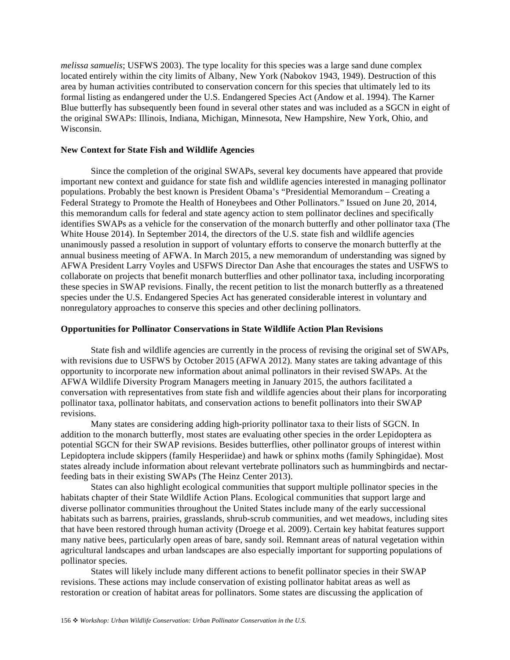*melissa samuelis*; USFWS 2003). The type locality for this species was a large sand dune complex located entirely within the city limits of Albany, New York (Nabokov 1943, 1949). Destruction of this area by human activities contributed to conservation concern for this species that ultimately led to its formal listing as endangered under the U.S. Endangered Species Act (Andow et al. 1994). The Karner Blue butterfly has subsequently been found in several other states and was included as a SGCN in eight of the original SWAPs: Illinois, Indiana, Michigan, Minnesota, New Hampshire, New York, Ohio, and Wisconsin.

### **New Context for State Fish and Wildlife Agencies**

Since the completion of the original SWAPs, several key documents have appeared that provide important new context and guidance for state fish and wildlife agencies interested in managing pollinator populations. Probably the best known is President Obama's "Presidential Memorandum – Creating a Federal Strategy to Promote the Health of Honeybees and Other Pollinators." Issued on June 20, 2014, this memorandum calls for federal and state agency action to stem pollinator declines and specifically identifies SWAPs as a vehicle for the conservation of the monarch butterfly and other pollinator taxa (The White House 2014). In September 2014, the directors of the U.S. state fish and wildlife agencies unanimously passed a resolution in support of voluntary efforts to conserve the monarch butterfly at the annual business meeting of AFWA. In March 2015, a new memorandum of understanding was signed by AFWA President Larry Voyles and USFWS Director Dan Ashe that encourages the states and USFWS to collaborate on projects that benefit monarch butterflies and other pollinator taxa, including incorporating these species in SWAP revisions. Finally, the recent petition to list the monarch butterfly as a threatened species under the U.S. Endangered Species Act has generated considerable interest in voluntary and nonregulatory approaches to conserve this species and other declining pollinators.

#### **Opportunities for Pollinator Conservations in State Wildlife Action Plan Revisions**

State fish and wildlife agencies are currently in the process of revising the original set of SWAPs, with revisions due to USFWS by October 2015 (AFWA 2012). Many states are taking advantage of this opportunity to incorporate new information about animal pollinators in their revised SWAPs. At the AFWA Wildlife Diversity Program Managers meeting in January 2015, the authors facilitated a conversation with representatives from state fish and wildlife agencies about their plans for incorporating pollinator taxa, pollinator habitats, and conservation actions to benefit pollinators into their SWAP revisions.

Many states are considering adding high-priority pollinator taxa to their lists of SGCN. In addition to the monarch butterfly, most states are evaluating other species in the order Lepidoptera as potential SGCN for their SWAP revisions. Besides butterflies, other pollinator groups of interest within Lepidoptera include skippers (family Hesperiidae) and hawk or sphinx moths (family Sphingidae). Most states already include information about relevant vertebrate pollinators such as hummingbirds and nectarfeeding bats in their existing SWAPs (The Heinz Center 2013).

States can also highlight ecological communities that support multiple pollinator species in the habitats chapter of their State Wildlife Action Plans. Ecological communities that support large and diverse pollinator communities throughout the United States include many of the early successional habitats such as barrens, prairies, grasslands, shrub-scrub communities, and wet meadows, including sites that have been restored through human activity (Droege et al. 2009). Certain key habitat features support many native bees, particularly open areas of bare, sandy soil. Remnant areas of natural vegetation within agricultural landscapes and urban landscapes are also especially important for supporting populations of pollinator species.

States will likely include many different actions to benefit pollinator species in their SWAP revisions. These actions may include conservation of existing pollinator habitat areas as well as restoration or creation of habitat areas for pollinators. Some states are discussing the application of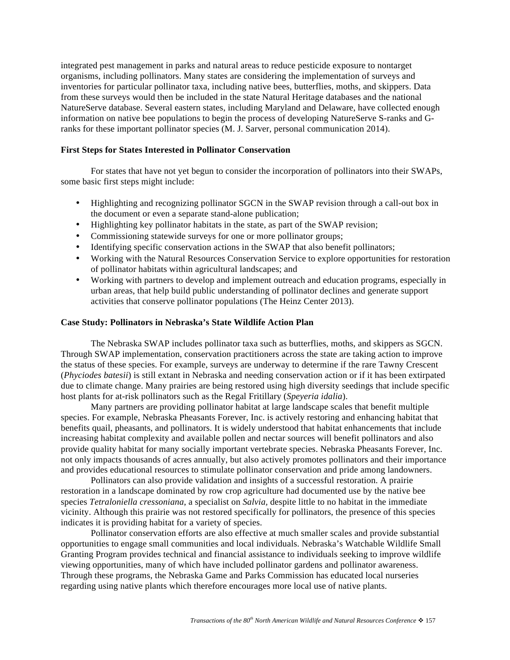integrated pest management in parks and natural areas to reduce pesticide exposure to nontarget organisms, including pollinators. Many states are considering the implementation of surveys and inventories for particular pollinator taxa, including native bees, butterflies, moths, and skippers. Data from these surveys would then be included in the state Natural Heritage databases and the national NatureServe database. Several eastern states, including Maryland and Delaware, have collected enough information on native bee populations to begin the process of developing NatureServe S-ranks and Granks for these important pollinator species (M. J. Sarver, personal communication 2014).

# **First Steps for States Interested in Pollinator Conservation**

For states that have not yet begun to consider the incorporation of pollinators into their SWAPs, some basic first steps might include:

- Highlighting and recognizing pollinator SGCN in the SWAP revision through a call-out box in the document or even a separate stand-alone publication;
- Highlighting key pollinator habitats in the state, as part of the SWAP revision;
- Commissioning statewide surveys for one or more pollinator groups;
- Identifying specific conservation actions in the SWAP that also benefit pollinators;
- Working with the Natural Resources Conservation Service to explore opportunities for restoration of pollinator habitats within agricultural landscapes; and
- Working with partners to develop and implement outreach and education programs, especially in urban areas, that help build public understanding of pollinator declines and generate support activities that conserve pollinator populations (The Heinz Center 2013).

# **Case Study: Pollinators in Nebraska's State Wildlife Action Plan**

The Nebraska SWAP includes pollinator taxa such as butterflies, moths, and skippers as SGCN. Through SWAP implementation, conservation practitioners across the state are taking action to improve the status of these species. For example, surveys are underway to determine if the rare Tawny Crescent (*Phyciodes batesii*) is still extant in Nebraska and needing conservation action or if it has been extirpated due to climate change. Many prairies are being restored using high diversity seedings that include specific host plants for at-risk pollinators such as the Regal Fritillary (*Speyeria idalia*).

 Many partners are providing pollinator habitat at large landscape scales that benefit multiple species. For example, Nebraska Pheasants Forever, Inc. is actively restoring and enhancing habitat that benefits quail, pheasants, and pollinators. It is widely understood that habitat enhancements that include increasing habitat complexity and available pollen and nectar sources will benefit pollinators and also provide quality habitat for many socially important vertebrate species. Nebraska Pheasants Forever, Inc. not only impacts thousands of acres annually, but also actively promotes pollinators and their importance and provides educational resources to stimulate pollinator conservation and pride among landowners.

 Pollinators can also provide validation and insights of a successful restoration. A prairie restoration in a landscape dominated by row crop agriculture had documented use by the native bee species *Tetraloniella cressoniana*, a specialist on *Salvia,* despite little to no habitat in the immediate vicinity. Although this prairie was not restored specifically for pollinators, the presence of this species indicates it is providing habitat for a variety of species.

 Pollinator conservation efforts are also effective at much smaller scales and provide substantial opportunities to engage small communities and local individuals. Nebraska's Watchable Wildlife Small Granting Program provides technical and financial assistance to individuals seeking to improve wildlife viewing opportunities, many of which have included pollinator gardens and pollinator awareness. Through these programs, the Nebraska Game and Parks Commission has educated local nurseries regarding using native plants which therefore encourages more local use of native plants.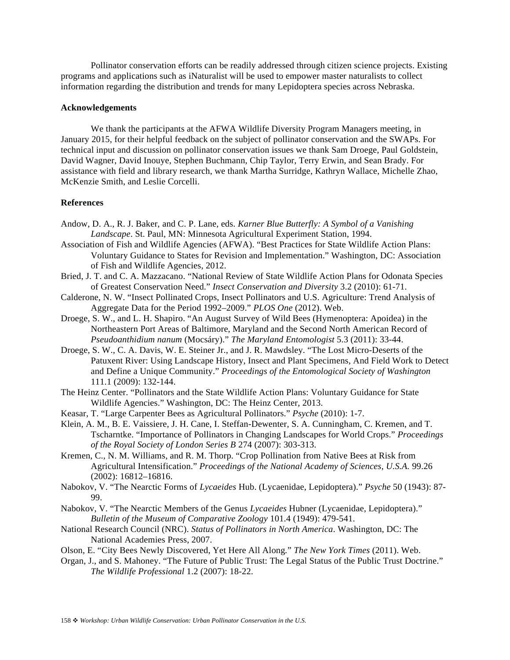Pollinator conservation efforts can be readily addressed through citizen science projects. Existing programs and applications such as iNaturalist will be used to empower master naturalists to collect information regarding the distribution and trends for many Lepidoptera species across Nebraska.

# **Acknowledgements**

We thank the participants at the AFWA Wildlife Diversity Program Managers meeting, in January 2015, for their helpful feedback on the subject of pollinator conservation and the SWAPs. For technical input and discussion on pollinator conservation issues we thank Sam Droege, Paul Goldstein, David Wagner, David Inouye, Stephen Buchmann, Chip Taylor, Terry Erwin, and Sean Brady. For assistance with field and library research, we thank Martha Surridge, Kathryn Wallace, Michelle Zhao, McKenzie Smith, and Leslie Corcelli.

### **References**

- Andow, D. A., R. J. Baker, and C. P. Lane, eds. *Karner Blue Butterfly: A Symbol of a Vanishing Landscape*. St. Paul, MN: Minnesota Agricultural Experiment Station, 1994.
- Association of Fish and Wildlife Agencies (AFWA). "Best Practices for State Wildlife Action Plans: Voluntary Guidance to States for Revision and Implementation." Washington, DC: Association of Fish and Wildlife Agencies, 2012.
- Bried, J. T. and C. A. Mazzacano. "National Review of State Wildlife Action Plans for Odonata Species of Greatest Conservation Need." *Insect Conservation and Diversity* 3.2 (2010): 61-71.
- Calderone, N. W. "Insect Pollinated Crops, Insect Pollinators and U.S. Agriculture: Trend Analysis of Aggregate Data for the Period 1992–2009." *PLOS One* (2012). Web.
- Droege, S. W., and L. H. Shapiro. "An August Survey of Wild Bees (Hymenoptera: Apoidea) in the Northeastern Port Areas of Baltimore, Maryland and the Second North American Record of *Pseudoanthidium nanum* (Mocsáry)." *The Maryland Entomologist* 5.3 (2011): 33-44.
- Droege, S. W., C. A. Davis, W. E. Steiner Jr., and J. R. Mawdsley. "The Lost Micro-Deserts of the Patuxent River: Using Landscape History, Insect and Plant Specimens, And Field Work to Detect and Define a Unique Community." *Proceedings of the Entomological Society of Washington* 111.1 (2009): 132-144.
- The Heinz Center. "Pollinators and the State Wildlife Action Plans: Voluntary Guidance for State Wildlife Agencies." Washington, DC: The Heinz Center, 2013.
- Keasar, T. "Large Carpenter Bees as Agricultural Pollinators." *Psyche* (2010): 1-7.
- Klein, A. M., B. E. Vaissiere, J. H. Cane, I. Steffan-Dewenter, S. A. Cunningham, C. Kremen, and T. Tscharntke. "Importance of Pollinators in Changing Landscapes for World Crops." *Proceedings of the Royal Society of London Series B* 274 (2007): 303-313.
- Kremen, C., N. M. Williams, and R. M. Thorp. "Crop Pollination from Native Bees at Risk from Agricultural Intensification." *Proceedings of the National Academy of Sciences, U.S.A.* 99.26 (2002): 16812–16816.
- Nabokov, V. "The Nearctic Forms of *Lycaeides* Hub. (Lycaenidae, Lepidoptera)." *Psyche* 50 (1943): 87- 99.
- Nabokov, V. "The Nearctic Members of the Genus *Lycaeides* Hubner (Lycaenidae, Lepidoptera)." *Bulletin of the Museum of Comparative Zoology* 101.4 (1949): 479-541.
- National Research Council (NRC). *Status of Pollinators in North America*. Washington, DC: The National Academies Press, 2007.
- Olson, E. "City Bees Newly Discovered, Yet Here All Along*.*" *The New York Times* (2011). Web.
- Organ, J., and S. Mahoney. "The Future of Public Trust: The Legal Status of the Public Trust Doctrine." *The Wildlife Professional* 1.2 (2007): 18-22.